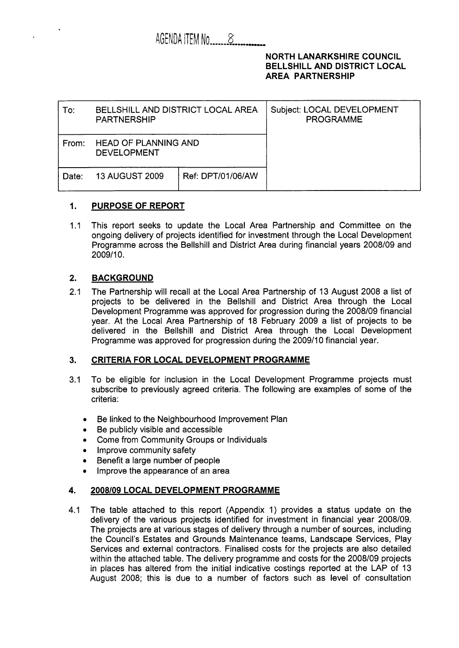## AGENDA ITEM No  $\sim$  8

### NORTH LANARKSHIRE COUNCIL BELLSHILL AND DISTRICT LOCAL AREA PARTNERSHIP

| To:   | <b>BELLSHILL AND DISTRICT LOCAL AREA</b><br>PARTNERSHIP |  | Subject: LOCAL DEVELOPMENT<br><b>PROGRAMME</b> |
|-------|---------------------------------------------------------|--|------------------------------------------------|
| From: | <b>HEAD OF PLANNING AND</b><br><b>DEVELOPMENT</b>       |  |                                                |
| Date: | Ref: DPT/01/06/AW<br><b>13 AUGUST 2009</b>              |  |                                                |

## **1.** PURPOSE **OF** REPORT

1.1 This report seeks to update the Local Area Partnership and Committee on the ongoing delivery of projects identified for investment through the Local Development Programme across the Bellshill and District Area during financial years 2008/09 and 2009/10.

## **2.** BACKGROUND

2.1 The Partnership will recall at the Local Area Partnership of 13 August 2008 a list of projects to be delivered in the Bellshill and District Area through the Local Development Programme was approved for progression during the 2008/09 financial year. At the Local Area Partnership of 18 February 2009 a list of projects to be delivered in the Bellshill and District Area through the Local Development Programme was approved for progression during the 2009/10 financial year.

### **3.** CRITERIA FOR LOCAL DEVELOPMENT PROGRAMME

- 3.1 To be eligible for inclusion in the Local Development Programme projects must subscribe to previously agreed criteria. The following are examples of some of the criteria:
	- *0*  Be linked to the Neighbourhood Improvement Plan
	- *0*  Be publicly visible and accessible
	- *0*  Come from Community Groups or Individuals
	- Improve community safety
	- *0*  Benefit a large number of people
	- *0*  Improve the appearance of an area

### **4.** *2008109* LOCAL DEVELOPMENT PROGRAMME

4.1 The table attached to this report (Appendix 1) provides a status update on the delivery of the various projects identified for investment in financial year 2008/09. The projects are at various stages of delivery through a number of sources, including the Council's Estates and Grounds Maintenance teams, Landscape Services, Play Services and external contractors. Finalised costs for the projects are also detailed within the attached table. The delivery programme and costs for the 2008/09 projects in places has altered from the initial indicative costings reported at the LAP of 13 August 2008; this is due to a number of factors such as level of consultation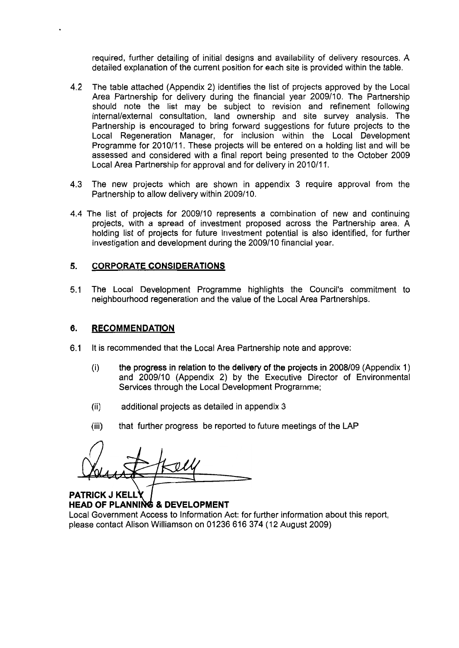required, further detailing of initial designs and availability of delivery resources. A detailed explanation of the current position for each site is provided within the table.

- 4.2 The table attached (Appendix 2) identifies the list of projects approved by the Local Area Partnership for delivery during the financial year 2009/10. The Partnership should note the list may be subject to revision and refinement following internal/external consultation, land ownership and site survey analysis. The Partnership is encouraged to bring forward suggestions for future projects to the Local Regeneration Manager, for inclusion within the Local Development Programme for 2010/11. These projects will be entered on a holding list and will be assessed and considered with a final report being presented to the October 2009 Local Area Partnership for approval and for delivery in 2010/11.
- 4.3 The new projects which are shown in appendix 3 require approval from the Partnership to allow delivery within 2009/10.
- 4.4 The list of projects for 2009110 represents a combination of new and continuing projects, with a spread of investment proposed across the Partnership area. A holding list of projects for future investment potential is also identified, for further investigation and development during the 2009/10 financial year.

### **5. CORPORATE CONSIDERATIONS**

5.1 The Local Development Programme highlights the Council's commitment to neighbourhood regeneration and the value of the Local Area Partnerships.

#### **6. RECOMMENDATION**

- 6.1 It is recommended that the Local Area Partnership note and approve:
	- (i) the progress in relation to the delivery of the projects in 2008/09 (Appendix 1) and 2009/10 (Appendix 2) by the Executive Director of Environmental Services through the Local Development Programme;
	- additional projects as detailed in appendix 3 (ii)
	- that further progress be reported to future meetings of the LAP (iii)

*A* 

**PATRICK J KELLY HEAD OF PLANNING & DEVELOPMENT** 

Local Government Access to Information Act: for further information about this report, please contact Alison Williamson on 01236 616 374 (12 August 2009)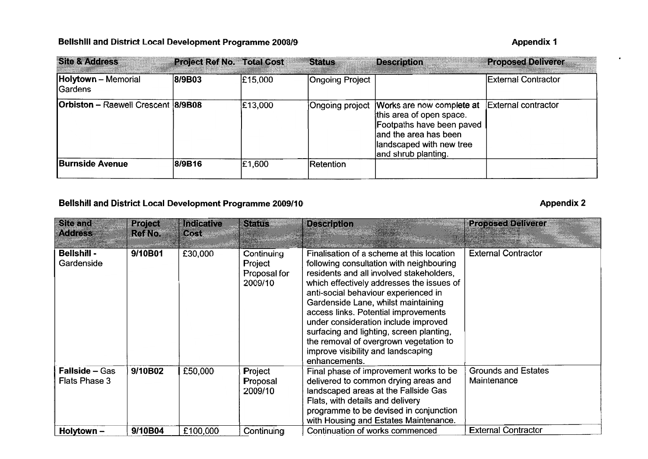## **Bellshill and District Local Development Programme 2008/9** Appendix 1

| <b>Site &amp; Address</b>                 | <b>Project Ref No. Total Cost</b> |         | <b>Status</b>          | <b>Description</b>                                                                                                                                                              | <b>Proposed Deliverer</b>  |
|-------------------------------------------|-----------------------------------|---------|------------------------|---------------------------------------------------------------------------------------------------------------------------------------------------------------------------------|----------------------------|
| <b>Holytown</b> - Memorial<br>Gardens     | 8/9B03                            | £15,000 | <b>Ongoing Project</b> |                                                                                                                                                                                 | <b>External Contractor</b> |
| <b>Orbiston</b> - Raewell Crescent 8/9B08 |                                   | £13,000 |                        | Ongoing project Works are now complete at<br>this area of open space.<br>Footpaths have been paved<br>and the area has been<br>llandscaped with new tree<br>and shrub planting. | <b>External contractor</b> |
| <b>Burnside Avenue</b>                    | 8/9B16                            | £1,600  | Retention              |                                                                                                                                                                                 |                            |

# **Bellshill and District Local Development Programme 2009/10**

## **Appendix 2**

 $\bullet$ 

| Site and<br><b>Address</b>             | <b>Project</b><br>Ref No. | <b>Indicative</b><br>Cost | <b>Status</b>                                    | <b>Description</b>                                                                                                                                                                                                                                                                                                                                                                                                                                                                         | <b>Proposed Deliverer</b>                 |
|----------------------------------------|---------------------------|---------------------------|--------------------------------------------------|--------------------------------------------------------------------------------------------------------------------------------------------------------------------------------------------------------------------------------------------------------------------------------------------------------------------------------------------------------------------------------------------------------------------------------------------------------------------------------------------|-------------------------------------------|
| <b>Bellshill -</b><br>Gardenside       | 9/10B01                   | £30,000                   | Continuing<br>Project<br>Proposal for<br>2009/10 | Finalisation of a scheme at this location<br>following consultation with neighbouring<br>residents and all involved stakeholders,<br>which effectively addresses the issues of<br>anti-social behaviour experienced in<br>Gardenside Lane, whilst maintaining<br>access links. Potential improvements<br>under consideration include improved<br>surfacing and lighting, screen planting,<br>the removal of overgrown vegetation to<br>improve visibility and landscaping<br>enhancements. | <b>External Contractor</b>                |
| <b>Fallside – Gas</b><br>Flats Phase 3 | 9/10B02                   | £50,000                   | Project<br>Proposal<br>2009/10                   | Final phase of improvement works to be<br>delivered to common drying areas and<br>landscaped areas at the Fallside Gas<br>Flats, with details and delivery<br>programme to be devised in conjunction<br>with Housing and Estates Maintenance.                                                                                                                                                                                                                                              | <b>Grounds and Estates</b><br>Maintenance |
| Holytown -                             | 9/10B04                   | £100,000                  | Continuing                                       | Continuation of works commenced                                                                                                                                                                                                                                                                                                                                                                                                                                                            | <b>External Contractor</b>                |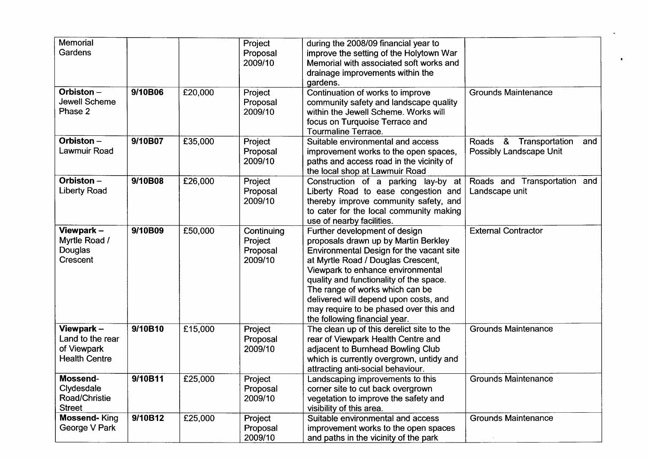| Memorial             |         |         | Project    | during the 2008/09 financial year to      |                                         |
|----------------------|---------|---------|------------|-------------------------------------------|-----------------------------------------|
| Gardens              |         |         | Proposal   | improve the setting of the Holytown War   |                                         |
|                      |         |         | 2009/10    | Memorial with associated soft works and   |                                         |
|                      |         |         |            | drainage improvements within the          |                                         |
|                      |         |         |            | gardens.                                  |                                         |
| Orbiston-            | 9/10B06 | £20,000 | Project    | Continuation of works to improve          | <b>Grounds Maintenance</b>              |
| Jewell Scheme        |         |         | Proposal   | community safety and landscape quality    |                                         |
| Phase 2              |         |         | 2009/10    | within the Jewell Scheme. Works will      |                                         |
|                      |         |         |            | focus on Turquoise Terrace and            |                                         |
|                      |         |         |            | <b>Tourmaline Terrace.</b>                |                                         |
| Orbiston-            | 9/10B07 | £35,000 | Project    | Suitable environmental and access         | & Transportation<br><b>Roads</b><br>and |
| Lawmuir Road         |         |         | Proposal   | improvement works to the open spaces,     | Possibly Landscape Unit                 |
|                      |         |         | 2009/10    | paths and access road in the vicinity of  |                                         |
|                      |         |         |            | the local shop at Lawmuir Road            |                                         |
| Orbiston -           | 9/10B08 | £26,000 | Project    | Construction of a parking lay-by at       | Roads and Transportation and            |
| <b>Liberty Road</b>  |         |         | Proposal   | Liberty Road to ease congestion and       | Landscape unit                          |
|                      |         |         | 2009/10    | thereby improve community safety, and     |                                         |
|                      |         |         |            | to cater for the local community making   |                                         |
|                      |         |         |            | use of nearby facilities.                 |                                         |
| Viewpark -           | 9/10B09 | £50,000 | Continuing | Further development of design             | <b>External Contractor</b>              |
| Myrtle Road /        |         |         | Project    | proposals drawn up by Martin Berkley      |                                         |
| Douglas              |         |         | Proposal   | Environmental Design for the vacant site  |                                         |
| Crescent             |         |         | 2009/10    | at Myrtle Road / Douglas Crescent,        |                                         |
|                      |         |         |            | Viewpark to enhance environmental         |                                         |
|                      |         |         |            | quality and functionality of the space.   |                                         |
|                      |         |         |            | The range of works which can be           |                                         |
|                      |         |         |            | delivered will depend upon costs, and     |                                         |
|                      |         |         |            | may require to be phased over this and    |                                         |
|                      |         |         |            | the following financial year.             |                                         |
| Viewpark-            | 9/10B10 | £15,000 | Project    | The clean up of this derelict site to the | <b>Grounds Maintenance</b>              |
| Land to the rear     |         |         | Proposal   | rear of Viewpark Health Centre and        |                                         |
| of Viewpark          |         |         | 2009/10    | adjacent to Burnhead Bowling Club         |                                         |
| <b>Health Centre</b> |         |         |            | which is currently overgrown, untidy and  |                                         |
|                      |         |         |            | attracting anti-social behaviour.         |                                         |
| <b>Mossend-</b>      | 9/10B11 | £25,000 | Project    | Landscaping improvements to this          | <b>Grounds Maintenance</b>              |
| Clydesdale           |         |         | Proposal   | corner site to cut back overgrown         |                                         |
| Road/Christie        |         |         | 2009/10    | vegetation to improve the safety and      |                                         |
| <b>Street</b>        |         |         |            | visibility of this area.                  |                                         |
| <b>Mossend-King</b>  | 9/10B12 | £25,000 | Project    | Suitable environmental and access         | <b>Grounds Maintenance</b>              |
| George V Park        |         |         | Proposal   | improvement works to the open spaces      |                                         |
|                      |         |         | 2009/10    | and paths in the vicinity of the park     |                                         |